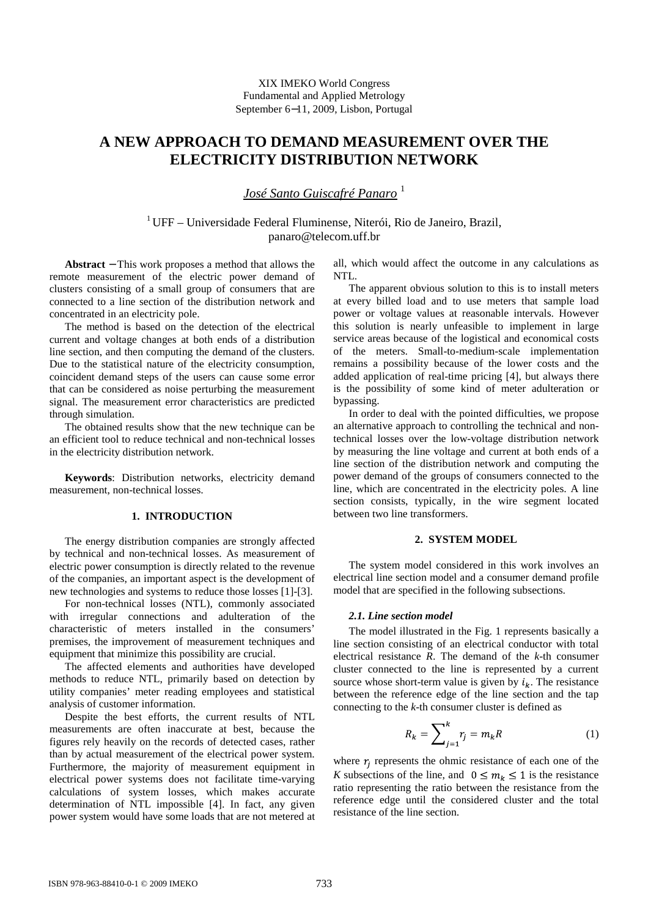# **A NEW APPROACH TO DEMAND MEASUREMENT OVER THE ELECTRICITY DISTRIBUTION NETWORK**

*José Santo Guiscafré Panaro*<sup>1</sup>

 $1$ UFF – Universidade Federal Fluminense, Niterói, Rio de Janeiro, Brazil, panaro@telecom.uff.br

**Abstract** − This work proposes a method that allows the remote measurement of the electric power demand of clusters consisting of a small group of consumers that are connected to a line section of the distribution network and concentrated in an electricity pole.

The method is based on the detection of the electrical current and voltage changes at both ends of a distribution line section, and then computing the demand of the clusters. Due to the statistical nature of the electricity consumption, coincident demand steps of the users can cause some error that can be considered as noise perturbing the measurement signal. The measurement error characteristics are predicted through simulation.

The obtained results show that the new technique can be an efficient tool to reduce technical and non-technical losses in the electricity distribution network.

**Keywords**: Distribution networks, electricity demand measurement, non-technical losses.

# **1. INTRODUCTION**

The energy distribution companies are strongly affected by technical and non-technical losses. As measurement of electric power consumption is directly related to the revenue of the companies, an important aspect is the development of new technologies and systems to reduce those losses [1]-[3].

For non-technical losses (NTL), commonly associated with irregular connections and adulteration of the characteristic of meters installed in the consumers' premises, the improvement of measurement techniques and equipment that minimize this possibility are crucial.

The affected elements and authorities have developed methods to reduce NTL, primarily based on detection by utility companies' meter reading employees and statistical analysis of customer information.

Despite the best efforts, the current results of NTL measurements are often inaccurate at best, because the figures rely heavily on the records of detected cases, rather than by actual measurement of the electrical power system. Furthermore, the majority of measurement equipment in electrical power systems does not facilitate time-varying calculations of system losses, which makes accurate determination of NTL impossible [4]. In fact, any given power system would have some loads that are not metered at all, which would affect the outcome in any calculations as NTL.

The apparent obvious solution to this is to install meters at every billed load and to use meters that sample load power or voltage values at reasonable intervals. However this solution is nearly unfeasible to implement in large service areas because of the logistical and economical costs of the meters. Small-to-medium-scale implementation remains a possibility because of the lower costs and the added application of real-time pricing [4], but always there is the possibility of some kind of meter adulteration or bypassing.

In order to deal with the pointed difficulties, we propose an alternative approach to controlling the technical and nontechnical losses over the low-voltage distribution network by measuring the line voltage and current at both ends of a line section of the distribution network and computing the power demand of the groups of consumers connected to the line, which are concentrated in the electricity poles. A line section consists, typically, in the wire segment located between two line transformers.

# **2. SYSTEM MODEL**

The system model considered in this work involves an electrical line section model and a consumer demand profile model that are specified in the following subsections.

#### *2.1. Line section model*

The model illustrated in the Fig. 1 represents basically a line section consisting of an electrical conductor with total electrical resistance *R*. The demand of the *k*-th consumer cluster connected to the line is represented by a current source whose short-term value is given by  $i_k$ . The resistance between the reference edge of the line section and the tap connecting to the *k*-th consumer cluster is defined as

$$
R_k = \sum_{j=1}^k r_j = m_k R \tag{1}
$$

where  $r_i$  represents the ohmic resistance of each one of the *K* subsections of the line, and  $0 \le m_k \le 1$  is the resistance ratio representing the ratio between the resistance from the reference edge until the considered cluster and the total resistance of the line section.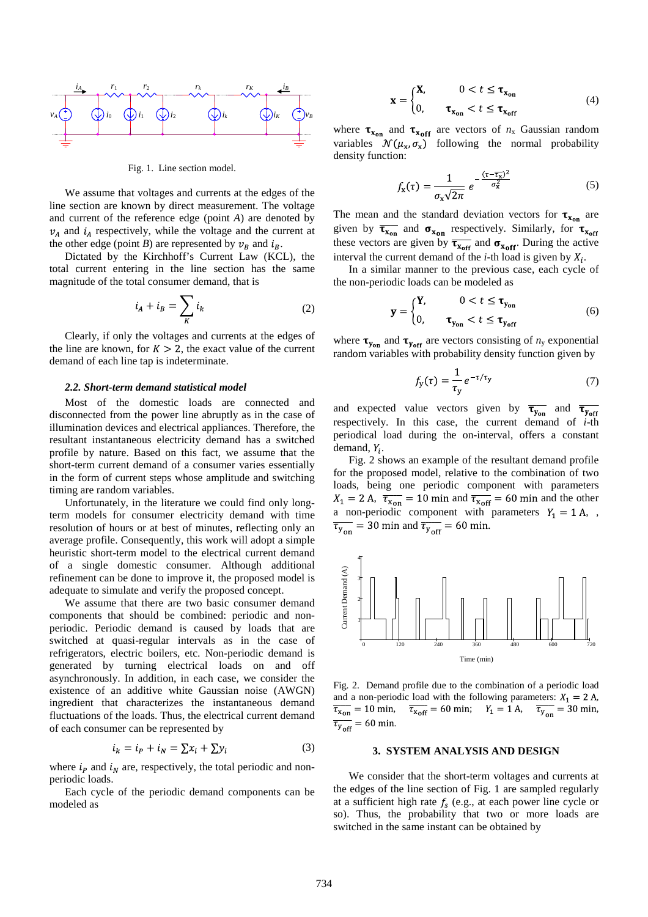

Fig. 1. Line section model.

We assume that voltages and currents at the edges of the line section are known by direct measurement. The voltage and current of the reference edge (point *A*) are denoted by  $v_A$  and  $i_A$  respectively, while the voltage and the current at the other edge (point *B*) are represented by  $v_B$  and  $i_B$ .

Dictated by the Kirchhoff's Current Law (KCL), the total current entering in the line section has the same magnitude of the total consumer demand, that is

$$
i_A + i_B = \sum_K i_k \tag{2}
$$

Clearly, if only the voltages and currents at the edges of the line are known, for  $K > 2$ , the exact value of the current demand of each line tap is indeterminate.

## *2.2. Short-term demand statistical model*

Most of the domestic loads are connected and disconnected from the power line abruptly as in the case of illumination devices and electrical appliances. Therefore, the resultant instantaneous electricity demand has a switched profile by nature. Based on this fact, we assume that the short-term current demand of a consumer varies essentially in the form of current steps whose amplitude and switching timing are random variables.

Unfortunately, in the literature we could find only longterm models for consumer electricity demand with time resolution of hours or at best of minutes, reflecting only an average profile. Consequently, this work will adopt a simple heuristic short-term model to the electrical current demand of a single domestic consumer. Although additional refinement can be done to improve it, the proposed model is adequate to simulate and verify the proposed concept.

We assume that there are two basic consumer demand components that should be combined: periodic and nonperiodic. Periodic demand is caused by loads that are switched at quasi-regular intervals as in the case of refrigerators, electric boilers, etc. Non-periodic demand is generated by turning electrical loads on and off asynchronously. In addition, in each case, we consider the existence of an additive white Gaussian noise (AWGN) ingredient that characterizes the instantaneous demand fluctuations of the loads. Thus, the electrical current demand of each consumer can be represented by

$$
i_k = i_p + i_N = \sum x_i + \sum y_i \tag{3}
$$

where  $i_p$  and  $i_p$  are, respectively, the total periodic and nonperiodic loads.

Each cycle of the periodic demand components can be modeled as

$$
\mathbf{x} = \begin{cases} \mathbf{X}, & 0 < t \le \mathbf{\tau}_{\mathbf{x}_{\text{on}}} \\ 0, & \mathbf{\tau}_{\mathbf{x}_{\text{on}}} < t \le \mathbf{\tau}_{\mathbf{x}_{\text{off}}} \end{cases} \tag{4}
$$

where  $\tau_{x_{\text{on}}}$  and  $\tau_{x_{\text{off}}}$  are vectors of  $n_x$  Gaussian random variables  $\mathcal{N}(\mu_{x}, \sigma_{x})$  following the normal probability density function:

$$
f_{\mathbf{x}}(\tau) = \frac{1}{\sigma_{\mathbf{x}}\sqrt{2\pi}} e^{-\frac{(\tau - \overline{\tau_{\mathbf{x}}})^2}{\sigma_{\mathbf{x}}^2}}
$$
(5)

The mean and the standard deviation vectors for  $\tau_{x_{on}}$  are given by  $\overline{\tau_{x_{on}}}$  and  $\sigma_{x_{on}}$  respectively. Similarly, for  $\tau_{x_{off}}$ these vectors are given by  $\overline{\tau_{x_{off}}}$  and  $\sigma_{x_{off}}$ . During the active interval the current demand of the  $i$ -th load is given by  $X_i$ .

In a similar manner to the previous case, each cycle of the non-periodic loads can be modeled as

$$
\mathbf{y} = \begin{cases} \mathbf{Y}, & 0 < t \le \mathbf{\tau}_{\mathbf{y}_{\text{on}}} \\ 0, & \mathbf{\tau}_{\mathbf{y}_{\text{on}}} < t \le \mathbf{\tau}_{\mathbf{y}_{\text{off}}} \end{cases} \tag{6}
$$

where  $\tau_{\text{y}_{\text{on}}}$  and  $\tau_{\text{y}_{\text{off}}}$  are vectors consisting of  $n_{\text{y}}$  exponential random variables with probability density function given by

$$
f_{y}(\tau) = \frac{1}{\tau_{y}} e^{-\tau/\tau_{y}}
$$
 (7)

and expected value vectors given by  $\overline{\tau_{y_{on}}}$  and  $\overline{\tau_{y_{off}}}$ respectively. In this case, the current demand of *i*-th periodical load during the on-interval, offers a constant demand,  $Y_i$ .

 Fig. 2 shows an example of the resultant demand profile for the proposed model, relative to the combination of two loads, being one periodic component with parameters ,  $\overline{\tau_{\text{Xon}}}$  = 10 min and  $\overline{\tau_{\text{Xoff}}}$  = 60 min and the other a non-periodic component with parameters  $Y_1 = 1 \text{ A}$ , ,  $\overline{\tau_{y_{\text{on}}}}$  = 30 min and  $\overline{\tau_{y_{\text{off}}}}$  = 60 min.



Fig. 2. Demand profile due to the combination of a periodic load and a non-periodic load with the following parameters:  $X_1 = 2$  A,  $\overline{\tau_{x \text{off}}}$  = 60 min;  $Y_1 = 1 \text{ A}, \quad \overline{\tau_{y}} = 30 \text{ min},$  $\overline{\tau_{y_{\text{off}}}}$  = 60 min.

### **3. SYSTEM ANALYSIS AND DESIGN**

We consider that the short-term voltages and currents at the edges of the line section of Fig. 1 are sampled regularly at a sufficient high rate  $f_s$  (e.g., at each power line cycle or so). Thus, the probability that two or more loads are switched in the same instant can be obtained by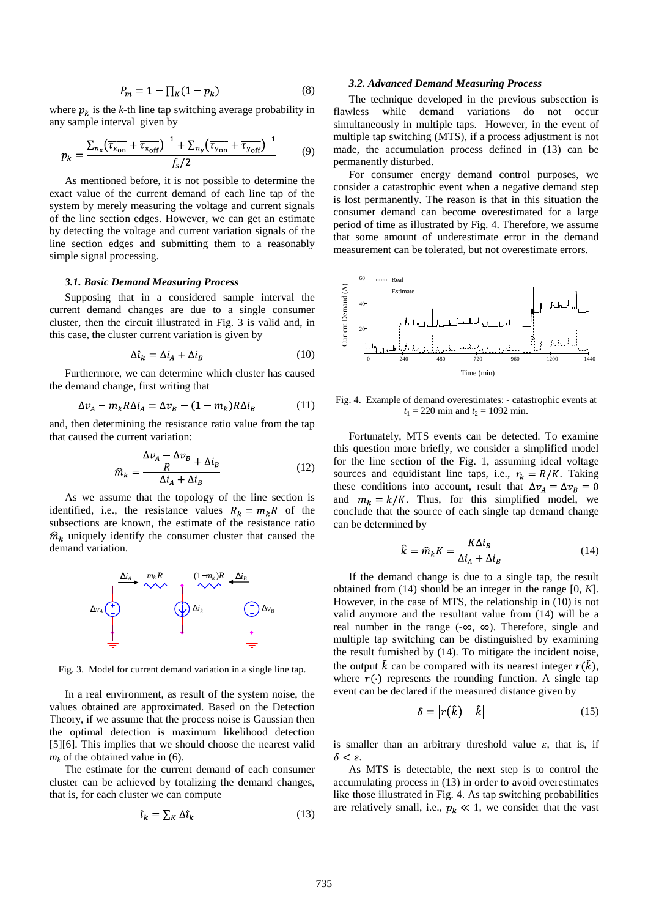$$
P_m = 1 - \prod_K (1 - p_k) \tag{8}
$$

where  $p_k$  is the *k*-th line tap switching average probability in any sample interval given by

$$
p_k = \frac{\sum_{n_x} (\overline{\tau_{x_{\text{on}}} + \overline{\tau_{x_{\text{off}}}}})^{-1} + \sum_{n_y} (\overline{\tau_{y_{\text{on}}} + \overline{\tau_{y_{\text{off}}}}})^{-1}}{f_s/2}
$$
(9)

As mentioned before, it is not possible to determine the exact value of the current demand of each line tap of the system by merely measuring the voltage and current signals of the line section edges. However, we can get an estimate by detecting the voltage and current variation signals of the line section edges and submitting them to a reasonably simple signal processing.

## *3.1. Basic Demand Measuring Process*

Supposing that in a considered sample interval the current demand changes are due to a single consumer cluster, then the circuit illustrated in Fig. 3 is valid and, in this case, the cluster current variation is given by

$$
\Delta \hat{\iota}_k = \Delta \dot{\iota}_A + \Delta \dot{\iota}_B \tag{10}
$$

Furthermore, we can determine which cluster has caused the demand change, first writing that

$$
\Delta v_A - m_k R \Delta i_A = \Delta v_B - (1 - m_k) R \Delta i_B \tag{11}
$$

and, then determining the resistance ratio value from the tap that caused the current variation:

$$
\widehat{m}_k = \frac{\frac{\Delta v_A - \Delta v_B}{R} + \Delta i_B}{\Delta i_A + \Delta i_B} \tag{12}
$$

 As we assume that the topology of the line section is identified, i.e., the resistance values  $R_k = m_k R$  of the subsections are known, the estimate of the resistance ratio  $\hat{m}_k$  uniquely identify the consumer cluster that caused the demand variation.



Fig. 3. Model for current demand variation in a single line tap.

In a real environment, as result of the system noise, the values obtained are approximated. Based on the Detection Theory, if we assume that the process noise is Gaussian then the optimal detection is maximum likelihood detection [5][6]. This implies that we should choose the nearest valid  $m_k$  of the obtained value in (6).

The estimate for the current demand of each consumer cluster can be achieved by totalizing the demand changes, that is, for each cluster we can compute

$$
\hat{\iota}_k = \sum_K \Delta \hat{\iota}_k \tag{13}
$$

#### *3.2. Advanced Demand Measuring Process*

The technique developed in the previous subsection is flawless while demand variations do not occur simultaneously in multiple taps. However, in the event of multiple tap switching (MTS), if a process adjustment is not made, the accumulation process defined in (13) can be permanently disturbed.

For consumer energy demand control purposes, we consider a catastrophic event when a negative demand step is lost permanently. The reason is that in this situation the consumer demand can become overestimated for a large period of time as illustrated by Fig. 4. Therefore, we assume that some amount of underestimate error in the demand measurement can be tolerated, but not overestimate errors.



Fig. 4. Example of demand overestimates: - catastrophic events at  $t_1 = 220$  min and  $t_2 = 1092$  min.

Fortunately, MTS events can be detected. To examine this question more briefly, we consider a simplified model for the line section of the Fig. 1, assuming ideal voltage sources and equidistant line taps, i.e.,  $r_k = R/K$ . Taking these conditions into account, result that  $\Delta v_A = \Delta v_B = 0$ and  $m_k = k/K$ . Thus, for this simplified model, we conclude that the source of each single tap demand change can be determined by

$$
\hat{k} = \hat{m}_k K = \frac{K \Delta i_B}{\Delta i_A + \Delta i_B} \tag{14}
$$

If the demand change is due to a single tap, the result obtained from (14) should be an integer in the range [0, *K*]. However, in the case of MTS, the relationship in (10) is not valid anymore and the resultant value from (14) will be a real number in the range  $(-\infty, \infty)$ . Therefore, single and multiple tap switching can be distinguished by examining the result furnished by (14). To mitigate the incident noise, the output  $\hat{k}$  can be compared with its nearest integer  $r(\hat{k})$ , where  $r(\cdot)$  represents the rounding function. A single tap event can be declared if the measured distance given by

$$
\delta = |r(\hat{k}) - \hat{k}| \tag{15}
$$

is smaller than an arbitrary threshold value  $\varepsilon$ , that is, if  $\delta < \varepsilon$ .

As MTS is detectable, the next step is to control the accumulating process in (13) in order to avoid overestimates like those illustrated in Fig. 4. As tap switching probabilities are relatively small, i.e.,  $p_k \ll 1$ , we consider that the vast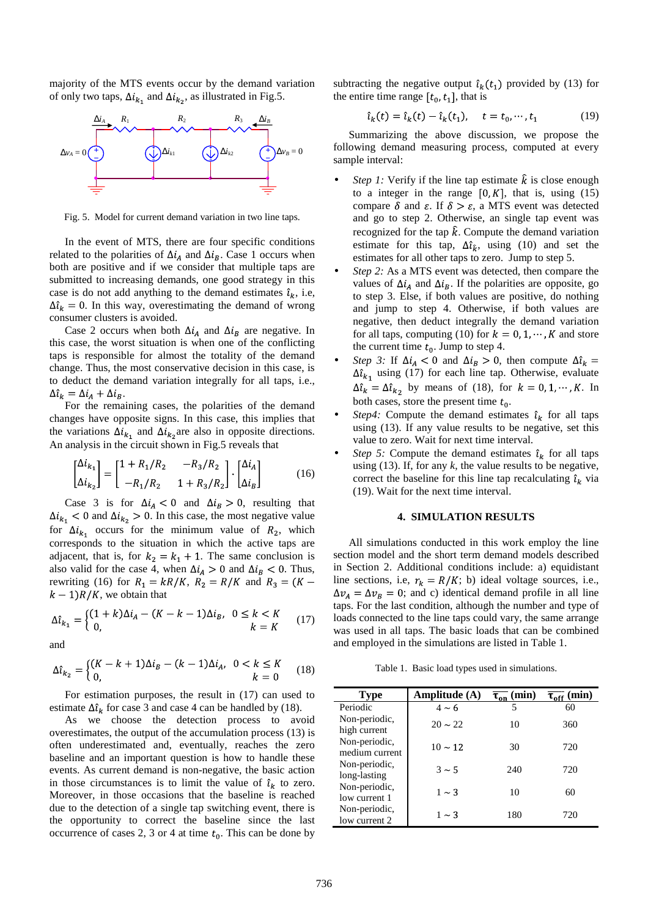majority of the MTS events occur by the demand variation of only two taps,  $\Delta i_{k_1}$  and  $\Delta i_{k_2}$ , as illustrated in Fig.5.



Fig. 5. Model for current demand variation in two line taps.

In the event of MTS, there are four specific conditions related to the polarities of  $\Delta i_A$  and  $\Delta i_B$ . Case 1 occurs when both are positive and if we consider that multiple taps are submitted to increasing demands, one good strategy in this case is do not add anything to the demand estimates  $\hat{\iota}_k$ , i.e,  $\Delta \hat{\iota}_k = 0$ . In this way, overestimating the demand of wrong consumer clusters is avoided.

Case 2 occurs when both  $\Delta i_A$  and  $\Delta i_B$  are negative. In this case, the worst situation is when one of the conflicting taps is responsible for almost the totality of the demand change. Thus, the most conservative decision in this case, is to deduct the demand variation integrally for all taps, i.e.,  $\Delta \hat{\iota}_k = \Delta \hat{\iota}_A + \Delta \hat{\iota}_B.$ 

For the remaining cases, the polarities of the demand changes have opposite signs. In this case, this implies that the variations  $\Delta i_{k_1}$  and  $\Delta i_{k_2}$  are also in opposite directions. An analysis in the circuit shown in Fig.5 reveals that

$$
\begin{bmatrix} \Delta i_{k_1} \\ \Delta i_{k_2} \end{bmatrix} = \begin{bmatrix} 1 + R_1/R_2 & -R_3/R_2 \\ -R_1/R_2 & 1 + R_3/R_2 \end{bmatrix} \cdot \begin{bmatrix} \Delta i_A \\ \Delta i_B \end{bmatrix}
$$
 (16)

Case 3 is for  $\Delta i_A < 0$  and  $\Delta i_B > 0$ , resulting that  $\Delta i_{k_1}$  < 0 and  $\Delta i_{k_2}$  > 0. In this case, the most negative value for  $\Delta i_{k_1}$  occurs for the minimum value of  $R_2$ , which corresponds to the situation in which the active taps are adjacent, that is, for  $k_2 = k_1 + 1$ . The same conclusion is also valid for the case 4, when  $\Delta i_A > 0$  and  $\Delta i_B < 0$ . Thus, rewriting (16) for  $R_1 = kR/K$ ,  $R_2 = R/K$  and  $R_3 = (K (k - 1)R/K$ , we obtain that

$$
\Delta \hat{\iota}_{k_1} = \begin{cases} (1+k)\Delta i_A - (K - k - 1)\Delta i_B, & 0 \le k < K \\ 0, & k = K \end{cases} \tag{17}
$$

and

$$
\Delta \hat{\iota}_{k_2} = \begin{cases} (K - k + 1)\Delta \iota_B - (k - 1)\Delta \iota_A, & 0 < k \le K \\ 0, & k = 0 \end{cases}
$$
(18)

For estimation purposes, the result in (17) can used to estimate  $\Delta \hat{\iota}_k$  for case 3 and case 4 can be handled by (18).

As we choose the detection process to avoid overestimates, the output of the accumulation process (13) is often underestimated and, eventually, reaches the zero baseline and an important question is how to handle these events. As current demand is non-negative, the basic action in those circumstances is to limit the value of  $\hat{\iota}_k$  to zero. Moreover, in those occasions that the baseline is reached due to the detection of a single tap switching event, there is the opportunity to correct the baseline since the last occurrence of cases 2, 3 or 4 at time  $t_0$ . This can be done by

subtracting the negative output  $\hat{\iota}_k(t_1)$  provided by (13) for the entire time range  $[t_0, t_1]$ , that is

$$
\hat{\iota}_k(t) = \hat{\iota}_k(t) - \hat{\iota}_k(t_1), \quad t = t_0, \cdots, t_1 \tag{19}
$$

Summarizing the above discussion, we propose the following demand measuring process, computed at every sample interval:

- *Step 1:* Verify if the line tap estimate  $\hat{k}$  is close enough to a integer in the range  $[0, K]$ , that is, using (15) compare  $\delta$  and  $\varepsilon$ . If  $\delta > \varepsilon$ , a MTS event was detected and go to step 2. Otherwise, an single tap event was recognized for the tap  $\hat{k}$ . Compute the demand variation estimate for this tap,  $\Delta \hat{\imath}_{\hat{k}}$ , using (10) and set the estimates for all other taps to zero. Jump to step 5.
- *Step 2:* As a MTS event was detected, then compare the values of  $\Delta i_A$  and  $\Delta i_B$ . If the polarities are opposite, go to step 3. Else, if both values are positive, do nothing and jump to step 4. Otherwise, if both values are negative, then deduct integrally the demand variation for all taps, computing (10) for  $k = 0, 1, \dots, K$  and store the current time  $t_0$ . Jump to step 4.
- *Step 3:* If  $\Delta i_A < 0$  and  $\Delta i_B > 0$ , then compute  $\Delta \hat{i}_k =$  $\Delta \hat{\iota}_{k_1}$  using (17) for each line tap. Otherwise, evaluate  $\Delta \hat{\iota}_k = \Delta \hat{\iota}_{k_2}$  by means of (18), for  $k = 0, 1, \dots, K$ . In both cases, store the present time  $t_0$ .
- *Step4:* Compute the demand estimates  $\hat{\imath}_k$  for all taps using (13). If any value results to be negative, set this value to zero. Wait for next time interval.
- *Step 5:* Compute the demand estimates  $\hat{i}_k$  for all taps using  $(13)$ . If, for any *k*, the value results to be negative, correct the baseline for this line tap recalculating  $\hat{\imath}_k$  via (19). Wait for the next time interval.

# **4. SIMULATION RESULTS**

All simulations conducted in this work employ the line section model and the short term demand models described in Section 2. Additional conditions include: a) equidistant line sections, i.e,  $r_k = R/K$ ; b) ideal voltage sources, i.e.,  $\Delta v_A = \Delta v_B = 0$ ; and c) identical demand profile in all line taps. For the last condition, although the number and type of loads connected to the line taps could vary, the same arrange was used in all taps. The basic loads that can be combined and employed in the simulations are listed in Table 1.

Table 1. Basic load types used in simulations.

| <b>Type</b>                     | Amplitude $(A)$ | $\overline{\tau_{on}}$ (min) | $\overline{\tau_{\text{off}}}$ (min) |
|---------------------------------|-----------------|------------------------------|--------------------------------------|
| Periodic                        | $4 \sim 6$      | 5                            | 60                                   |
| Non-periodic,<br>high current   | $20 \sim 22$    | 10                           | 360                                  |
| Non-periodic,<br>medium current | $10 \sim 12$    | 30                           | 720                                  |
| Non-periodic,<br>long-lasting   | $3 \sim 5$      | 240                          | 720                                  |
| Non-periodic,<br>low current 1  | $1 \sim 3$      | 10                           | 60                                   |
| Non-periodic,<br>low current 2  | $1 \sim 3$      | 180                          | 720                                  |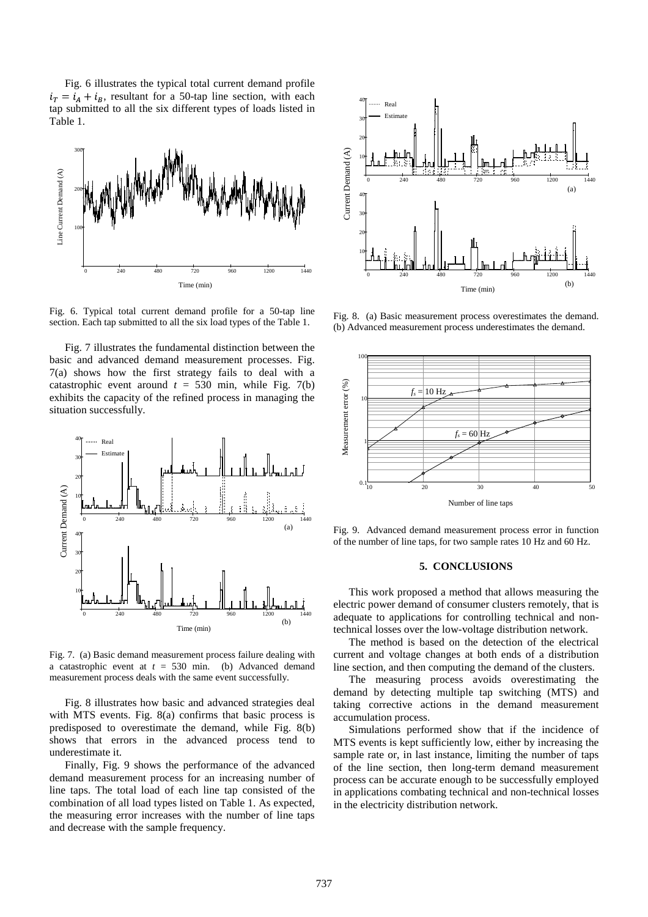Fig. 6 illustrates the typical total current demand profile  $i_T = i_A + i_B$ , resultant for a 50-tap line section, with each tap submitted to all the six different types of loads listed in Table 1.



Fig. 6. Typical total current demand profile for a 50-tap line section. Each tap submitted to all the six load types of the Table 1.

Fig. 7 illustrates the fundamental distinction between the basic and advanced demand measurement processes. Fig. 7(a) shows how the first strategy fails to deal with a catastrophic event around  $t = 530$  min, while Fig. 7(b) exhibits the capacity of the refined process in managing the situation successfully.



Fig. 7. (a) Basic demand measurement process failure dealing with a catastrophic event at  $t = 530$  min. (b) Advanced demand measurement process deals with the same event successfully.

Fig. 8 illustrates how basic and advanced strategies deal with MTS events. Fig. 8(a) confirms that basic process is predisposed to overestimate the demand, while Fig. 8(b) shows that errors in the advanced process tend to underestimate it.

Finally, Fig. 9 shows the performance of the advanced demand measurement process for an increasing number of line taps. The total load of each line tap consisted of the combination of all load types listed on Table 1. As expected, the measuring error increases with the number of line taps and decrease with the sample frequency.



Fig. 8. (a) Basic measurement process overestimates the demand. (b) Advanced measurement process underestimates the demand.



Fig. 9. Advanced demand measurement process error in function of the number of line taps, for two sample rates 10 Hz and 60 Hz.

## **5. CONCLUSIONS**

This work proposed a method that allows measuring the electric power demand of consumer clusters remotely, that is adequate to applications for controlling technical and nontechnical losses over the low-voltage distribution network.

The method is based on the detection of the electrical current and voltage changes at both ends of a distribution line section, and then computing the demand of the clusters.

The measuring process avoids overestimating the demand by detecting multiple tap switching (MTS) and taking corrective actions in the demand measurement accumulation process.

Simulations performed show that if the incidence of MTS events is kept sufficiently low, either by increasing the sample rate or, in last instance, limiting the number of taps of the line section, then long-term demand measurement process can be accurate enough to be successfully employed in applications combating technical and non-technical losses in the electricity distribution network.